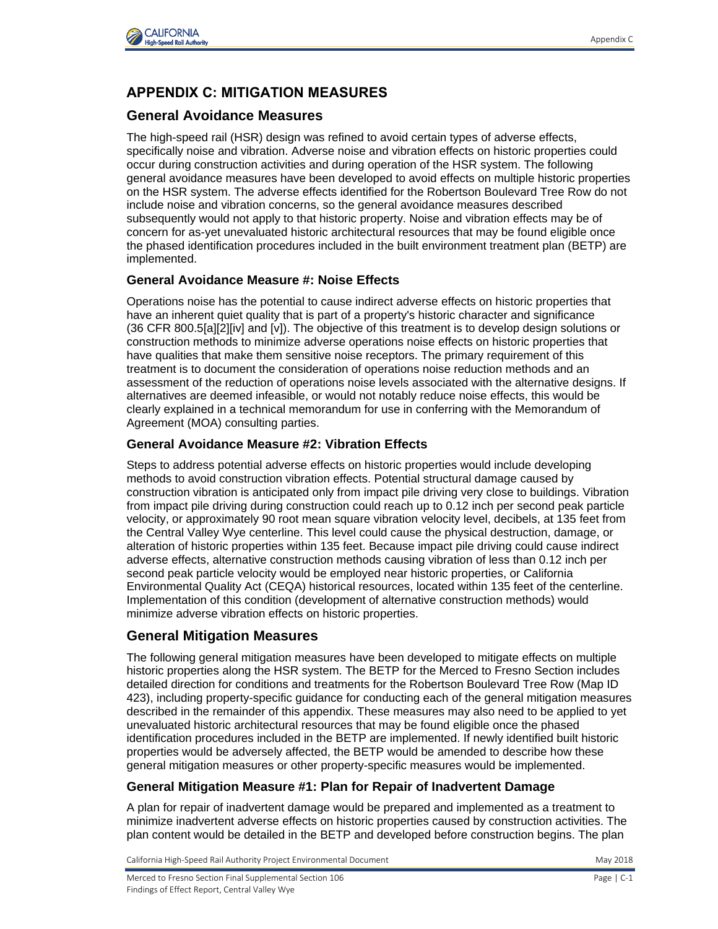

## **APPENDIX C: MITIGATION MEASURES**

## **General Avoidance Measures**

The high-speed rail (HSR) design was refined to avoid certain types of adverse effects, specifically noise and vibration. Adverse noise and vibration effects on historic properties could occur during construction activities and during operation of the HSR system. The following general avoidance measures have been developed to avoid effects on multiple historic properties on the HSR system. The adverse effects identified for the Robertson Boulevard Tree Row do not include noise and vibration concerns, so the general avoidance measures described subsequently would not apply to that historic property. Noise and vibration effects may be of concern for as-yet unevaluated historic architectural resources that may be found eligible once the phased identification procedures included in the built environment treatment plan (BETP) are implemented.

## **General Avoidance Measure #: Noise Effects**

Operations noise has the potential to cause indirect adverse effects on historic properties that have an inherent quiet quality that is part of a property's historic character and significance (36 CFR 800.5[a][2][iv] and [v]). The objective of this treatment is to develop design solutions or construction methods to minimize adverse operations noise effects on historic properties that have qualities that make them sensitive noise receptors. The primary requirement of this treatment is to document the consideration of operations noise reduction methods and an assessment of the reduction of operations noise levels associated with the alternative designs. If alternatives are deemed infeasible, or would not notably reduce noise effects, this would be clearly explained in a technical memorandum for use in conferring with the Memorandum of Agreement (MOA) consulting parties.

## **General Avoidance Measure #2: Vibration Effects**

Steps to address potential adverse effects on historic properties would include developing methods to avoid construction vibration effects. Potential structural damage caused by construction vibration is anticipated only from impact pile driving very close to buildings. Vibration from impact pile driving during construction could reach up to 0.12 inch per second peak particle velocity, or approximately 90 root mean square vibration velocity level, decibels, at 135 feet from the Central Valley Wye centerline. This level could cause the physical destruction, damage, or alteration of historic properties within 135 feet. Because impact pile driving could cause indirect adverse effects, alternative construction methods causing vibration of less than 0.12 inch per second peak particle velocity would be employed near historic properties, or California Environmental Quality Act (CEQA) historical resources, located within 135 feet of the centerline. Implementation of this condition (development of alternative construction methods) would minimize adverse vibration effects on historic properties.

## **General Mitigation Measures**

The following general mitigation measures have been developed to mitigate effects on multiple historic properties along the HSR system. The BETP for the Merced to Fresno Section includes detailed direction for conditions and treatments for the Robertson Boulevard Tree Row (Map ID 423), including property-specific guidance for conducting each of the general mitigation measures described in the remainder of this appendix. These measures may also need to be applied to yet unevaluated historic architectural resources that may be found eligible once the phased identification procedures included in the BETP are implemented. If newly identified built historic properties would be adversely affected, the BETP would be amended to describe how these general mitigation measures or other property-specific measures would be implemented.

#### **General Mitigation Measure #1: Plan for Repair of Inadvertent Damage**

A plan for repair of inadvertent damage would be prepared and implemented as a treatment to minimize inadvertent adverse effects on historic properties caused by construction activities. The plan content would be detailed in the BETP and developed before construction begins. The plan

California High-Speed Rail Authority Project Environmental Document May 2018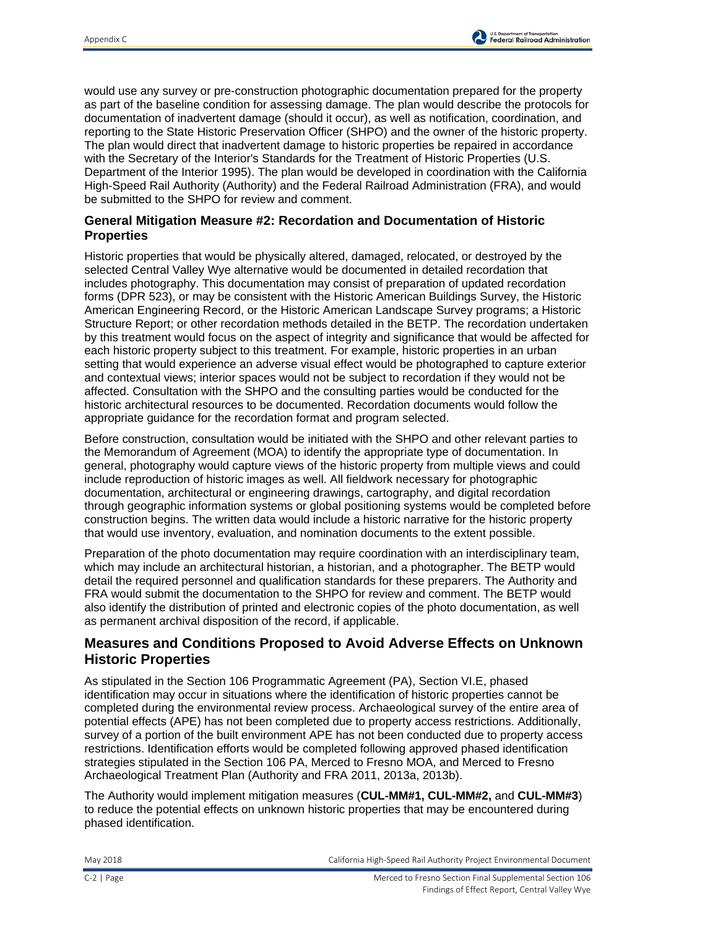would use any survey or pre-construction photographic documentation prepared for the property as part of the baseline condition for assessing damage. The plan would describe the protocols for documentation of inadvertent damage (should it occur), as well as notification, coordination, and reporting to the State Historic Preservation Officer (SHPO) and the owner of the historic property. The plan would direct that inadvertent damage to historic properties be repaired in accordance with the Secretary of the Interior's Standards for the Treatment of Historic Properties (U.S. Department of the Interior 1995). The plan would be developed in coordination with the California High-Speed Rail Authority (Authority) and the Federal Railroad Administration (FRA), and would be submitted to the SHPO for review and comment.

## **General Mitigation Measure #2: Recordation and Documentation of Historic Properties**

Historic properties that would be physically altered, damaged, relocated, or destroyed by the selected Central Valley Wye alternative would be documented in detailed recordation that includes photography. This documentation may consist of preparation of updated recordation forms (DPR 523), or may be consistent with the Historic American Buildings Survey, the Historic American Engineering Record, or the Historic American Landscape Survey programs; a Historic Structure Report; or other recordation methods detailed in the BETP. The recordation undertaken by this treatment would focus on the aspect of integrity and significance that would be affected for each historic property subject to this treatment. For example, historic properties in an urban setting that would experience an adverse visual effect would be photographed to capture exterior and contextual views; interior spaces would not be subject to recordation if they would not be affected. Consultation with the SHPO and the consulting parties would be conducted for the historic architectural resources to be documented. Recordation documents would follow the appropriate guidance for the recordation format and program selected.

Before construction, consultation would be initiated with the SHPO and other relevant parties to the Memorandum of Agreement (MOA) to identify the appropriate type of documentation. In general, photography would capture views of the historic property from multiple views and could include reproduction of historic images as well. All fieldwork necessary for photographic documentation, architectural or engineering drawings, cartography, and digital recordation through geographic information systems or global positioning systems would be completed before construction begins. The written data would include a historic narrative for the historic property that would use inventory, evaluation, and nomination documents to the extent possible.

Preparation of the photo documentation may require coordination with an interdisciplinary team, which may include an architectural historian, a historian, and a photographer. The BETP would detail the required personnel and qualification standards for these preparers. The Authority and FRA would submit the documentation to the SHPO for review and comment. The BETP would also identify the distribution of printed and electronic copies of the photo documentation, as well as permanent archival disposition of the record, if applicable.

## **Measures and Conditions Proposed to Avoid Adverse Effects on Unknown Historic Properties**

As stipulated in the Section 106 Programmatic Agreement (PA), Section VI.E, phased identification may occur in situations where the identification of historic properties cannot be completed during the environmental review process. Archaeological survey of the entire area of potential effects (APE) has not been completed due to property access restrictions. Additionally, survey of a portion of the built environment APE has not been conducted due to property access restrictions. Identification efforts would be completed following approved phased identification strategies stipulated in the Section 106 PA, Merced to Fresno MOA, and Merced to Fresno Archaeological Treatment Plan (Authority and FRA 2011, 2013a, 2013b).

The Authority would implement mitigation measures (**CUL-MM#1, CUL-MM#2,** and **CUL-MM#3**) to reduce the potential effects on unknown historic properties that may be encountered during phased identification.

May 2018 California High-Speed Rail Authority Project Environmental Document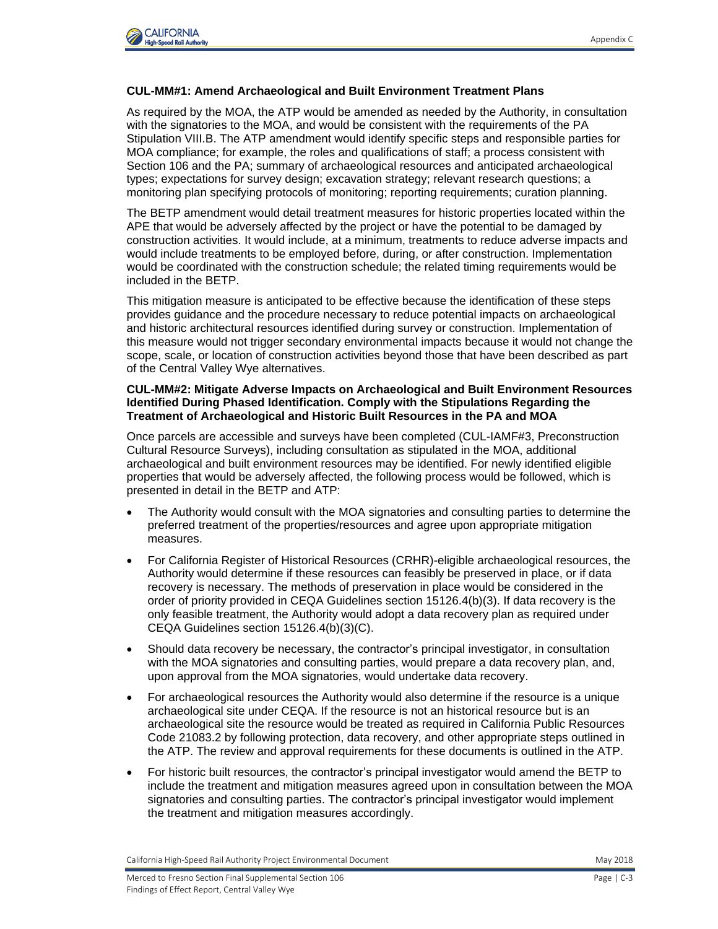

#### **CUL-MM#1: Amend Archaeological and Built Environment Treatment Plans**

As required by the MOA, the ATP would be amended as needed by the Authority, in consultation with the signatories to the MOA, and would be consistent with the requirements of the PA Stipulation VIII.B. The ATP amendment would identify specific steps and responsible parties for MOA compliance; for example, the roles and qualifications of staff; a process consistent with Section 106 and the PA; summary of archaeological resources and anticipated archaeological types; expectations for survey design; excavation strategy; relevant research questions; a monitoring plan specifying protocols of monitoring; reporting requirements; curation planning.

The BETP amendment would detail treatment measures for historic properties located within the APE that would be adversely affected by the project or have the potential to be damaged by construction activities. It would include, at a minimum, treatments to reduce adverse impacts and would include treatments to be employed before, during, or after construction. Implementation would be coordinated with the construction schedule; the related timing requirements would be included in the BETP.

This mitigation measure is anticipated to be effective because the identification of these steps provides guidance and the procedure necessary to reduce potential impacts on archaeological and historic architectural resources identified during survey or construction. Implementation of this measure would not trigger secondary environmental impacts because it would not change the scope, scale, or location of construction activities beyond those that have been described as part of the Central Valley Wye alternatives.

#### **CUL-MM#2: Mitigate Adverse Impacts on Archaeological and Built Environment Resources Identified During Phased Identification. Comply with the Stipulations Regarding the Treatment of Archaeological and Historic Built Resources in the PA and MOA**

Once parcels are accessible and surveys have been completed (CUL-IAMF#3, Preconstruction Cultural Resource Surveys), including consultation as stipulated in the MOA, additional archaeological and built environment resources may be identified. For newly identified eligible properties that would be adversely affected, the following process would be followed, which is presented in detail in the BETP and ATP:

- The Authority would consult with the MOA signatories and consulting parties to determine the preferred treatment of the properties/resources and agree upon appropriate mitigation measures.
- For California Register of Historical Resources (CRHR)-eligible archaeological resources, the Authority would determine if these resources can feasibly be preserved in place, or if data recovery is necessary. The methods of preservation in place would be considered in the order of priority provided in CEQA Guidelines section 15126.4(b)(3). If data recovery is the only feasible treatment, the Authority would adopt a data recovery plan as required under CEQA Guidelines section 15126.4(b)(3)(C).
- Should data recovery be necessary, the contractor's principal investigator, in consultation with the MOA signatories and consulting parties, would prepare a data recovery plan, and, upon approval from the MOA signatories, would undertake data recovery.
- For archaeological resources the Authority would also determine if the resource is a unique archaeological site under CEQA. If the resource is not an historical resource but is an archaeological site the resource would be treated as required in California Public Resources Code 21083.2 by following protection, data recovery, and other appropriate steps outlined in the ATP. The review and approval requirements for these documents is outlined in the ATP.
- For historic built resources, the contractor's principal investigator would amend the BETP to include the treatment and mitigation measures agreed upon in consultation between the MOA signatories and consulting parties. The contractor's principal investigator would implement the treatment and mitigation measures accordingly.

California High-Speed Rail Authority Project Environmental Document **May 2018** May 2018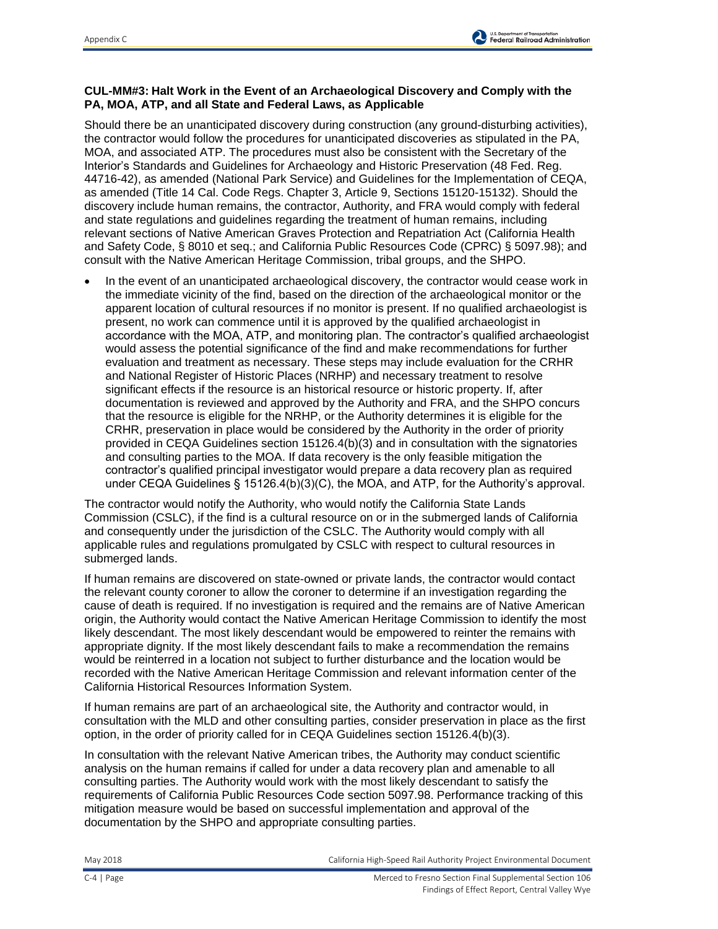### **CUL-MM#3: Halt Work in the Event of an Archaeological Discovery and Comply with the PA, MOA, ATP, and all State and Federal Laws, as Applicable**

Should there be an unanticipated discovery during construction (any ground-disturbing activities), the contractor would follow the procedures for unanticipated discoveries as stipulated in the PA, MOA, and associated ATP. The procedures must also be consistent with the Secretary of the Interior's Standards and Guidelines for Archaeology and Historic Preservation (48 Fed. Reg. 44716-42), as amended (National Park Service) and Guidelines for the Implementation of CEQA, as amended (Title 14 Cal. Code Regs. Chapter 3, Article 9, Sections 15120-15132). Should the discovery include human remains, the contractor, Authority, and FRA would comply with federal and state regulations and guidelines regarding the treatment of human remains, including relevant sections of Native American Graves Protection and Repatriation Act (California Health and Safety Code, § 8010 et seq.; and California Public Resources Code (CPRC) § 5097.98); and consult with the Native American Heritage Commission, tribal groups, and the SHPO.

 In the event of an unanticipated archaeological discovery, the contractor would cease work in the immediate vicinity of the find, based on the direction of the archaeological monitor or the apparent location of cultural resources if no monitor is present. If no qualified archaeologist is present, no work can commence until it is approved by the qualified archaeologist in accordance with the MOA, ATP, and monitoring plan. The contractor's qualified archaeologist would assess the potential significance of the find and make recommendations for further evaluation and treatment as necessary. These steps may include evaluation for the CRHR and National Register of Historic Places (NRHP) and necessary treatment to resolve significant effects if the resource is an historical resource or historic property. If, after documentation is reviewed and approved by the Authority and FRA, and the SHPO concurs that the resource is eligible for the NRHP, or the Authority determines it is eligible for the CRHR, preservation in place would be considered by the Authority in the order of priority provided in CEQA Guidelines section 15126.4(b)(3) and in consultation with the signatories and consulting parties to the MOA. If data recovery is the only feasible mitigation the contractor's qualified principal investigator would prepare a data recovery plan as required under CEQA Guidelines § 15126.4(b)(3)(C), the MOA, and ATP, for the Authority's approval.

The contractor would notify the Authority, who would notify the California State Lands Commission (CSLC), if the find is a cultural resource on or in the submerged lands of California and consequently under the jurisdiction of the CSLC. The Authority would comply with all applicable rules and regulations promulgated by CSLC with respect to cultural resources in submerged lands.

If human remains are discovered on state-owned or private lands, the contractor would contact the relevant county coroner to allow the coroner to determine if an investigation regarding the cause of death is required. If no investigation is required and the remains are of Native American origin, the Authority would contact the Native American Heritage Commission to identify the most likely descendant. The most likely descendant would be empowered to reinter the remains with appropriate dignity. If the most likely descendant fails to make a recommendation the remains would be reinterred in a location not subject to further disturbance and the location would be recorded with the Native American Heritage Commission and relevant information center of the California Historical Resources Information System.

If human remains are part of an archaeological site, the Authority and contractor would, in consultation with the MLD and other consulting parties, consider preservation in place as the first option, in the order of priority called for in CEQA Guidelines section 15126.4(b)(3).

In consultation with the relevant Native American tribes, the Authority may conduct scientific analysis on the human remains if called for under a data recovery plan and amenable to all consulting parties. The Authority would work with the most likely descendant to satisfy the requirements of California Public Resources Code section 5097.98. Performance tracking of this mitigation measure would be based on successful implementation and approval of the documentation by the SHPO and appropriate consulting parties.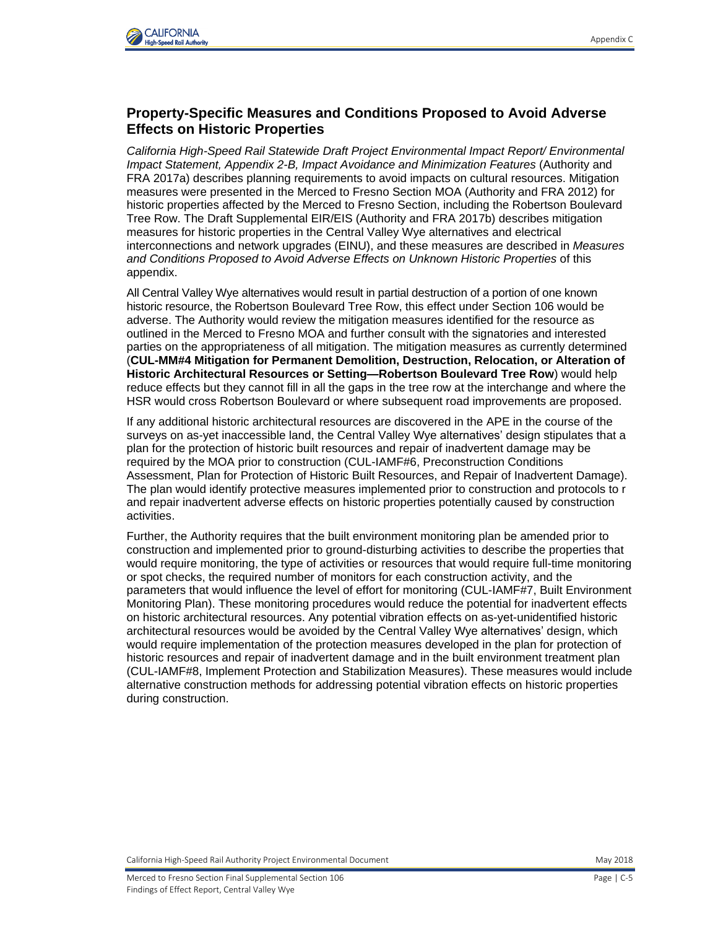

## **Property-Specific Measures and Conditions Proposed to Avoid Adverse Effects on Historic Properties**

*California High-Speed Rail Statewide Draft Project Environmental Impact Report/ Environmental Impact Statement, Appendix 2-B, Impact Avoidance and Minimization Features (Authority and* FRA 2017a) describes planning requirements to avoid impacts on cultural resources. Mitigation measures were presented in the Merced to Fresno Section MOA (Authority and FRA 2012) for historic properties affected by the Merced to Fresno Section, including the Robertson Boulevard Tree Row. The Draft Supplemental EIR/EIS (Authority and FRA 2017b) describes mitigation measures for historic properties in the Central Valley Wye alternatives and electrical interconnections and network upgrades (EINU), and these measures are described in *Measures and Conditions Proposed to Avoid Adverse Effects on Unknown Historic Properties* of this appendix.

All Central Valley Wye alternatives would result in partial destruction of a portion of one known historic resource, the Robertson Boulevard Tree Row, this effect under Section 106 would be adverse. The Authority would review the mitigation measures identified for the resource as outlined in the Merced to Fresno MOA and further consult with the signatories and interested parties on the appropriateness of all mitigation. The mitigation measures as currently determined (**CUL-MM#4 Mitigation for Permanent Demolition, Destruction, Relocation, or Alteration of Historic Architectural Resources or Setting—Robertson Boulevard Tree Row**) would help reduce effects but they cannot fill in all the gaps in the tree row at the interchange and where the HSR would cross Robertson Boulevard or where subsequent road improvements are proposed.

If any additional historic architectural resources are discovered in the APE in the course of the surveys on as-yet inaccessible land, the Central Valley Wye alternatives' design stipulates that a plan for the protection of historic built resources and repair of inadvertent damage may be required by the MOA prior to construction (CUL-IAMF#6, Preconstruction Conditions Assessment, Plan for Protection of Historic Built Resources, and Repair of Inadvertent Damage). The plan would identify protective measures implemented prior to construction and protocols to r and repair inadvertent adverse effects on historic properties potentially caused by construction activities.

Further, the Authority requires that the built environment monitoring plan be amended prior to construction and implemented prior to ground-disturbing activities to describe the properties that would require monitoring, the type of activities or resources that would require full-time monitoring or spot checks, the required number of monitors for each construction activity, and the parameters that would influence the level of effort for monitoring (CUL-IAMF#7, Built Environment Monitoring Plan). These monitoring procedures would reduce the potential for inadvertent effects on historic architectural resources. Any potential vibration effects on as-yet-unidentified historic architectural resources would be avoided by the Central Valley Wye alternatives' design, which would require implementation of the protection measures developed in the plan for protection of historic resources and repair of inadvertent damage and in the built environment treatment plan (CUL-IAMF#8, Implement Protection and Stabilization Measures). These measures would include alternative construction methods for addressing potential vibration effects on historic properties during construction.